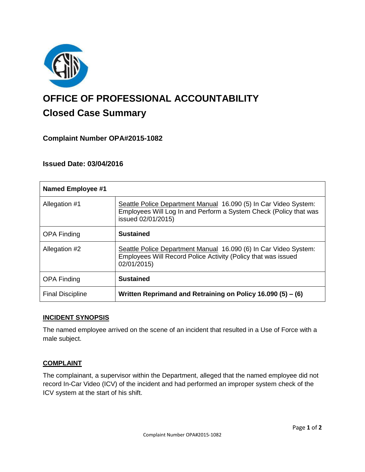

# **OFFICE OF PROFESSIONAL ACCOUNTABILITY Closed Case Summary**

# **Complaint Number OPA#2015-1082**

## **Issued Date: 03/04/2016**

| <b>Named Employee #1</b> |                                                                                                                                                             |
|--------------------------|-------------------------------------------------------------------------------------------------------------------------------------------------------------|
| Allegation #1            | Seattle Police Department Manual 16.090 (5) In Car Video System:<br>Employees Will Log In and Perform a System Check (Policy that was<br>issued 02/01/2015) |
| <b>OPA Finding</b>       | <b>Sustained</b>                                                                                                                                            |
| Allegation #2            | Seattle Police Department Manual 16.090 (6) In Car Video System:<br>Employees Will Record Police Activity (Policy that was issued<br>02/01/2015)            |
| <b>OPA Finding</b>       | <b>Sustained</b>                                                                                                                                            |
| <b>Final Discipline</b>  | Written Reprimand and Retraining on Policy 16.090 (5) - (6)                                                                                                 |

### **INCIDENT SYNOPSIS**

The named employee arrived on the scene of an incident that resulted in a Use of Force with a male subject.

### **COMPLAINT**

The complainant, a supervisor within the Department, alleged that the named employee did not record In-Car Video (ICV) of the incident and had performed an improper system check of the ICV system at the start of his shift.